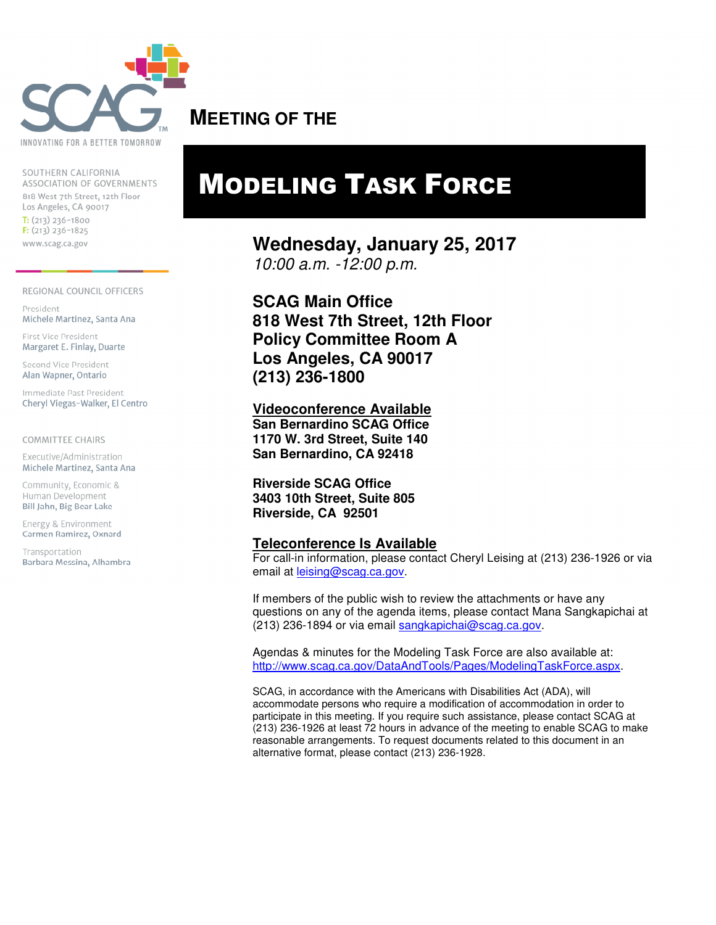

SOUTHERN CALIFORNIA ASSOCIATION OF GOVERNMENTS 818 West 7th Street, 12th Floor Los Angeles, CA 90017  $T: (213) 236 - 1800$  $F: (213) 236 - 1825$ www.scag.ca.gov

#### REGIONAL COUNCIL OFFICERS

President Michele Martinez, Santa Ana

First Vice President Margaret E. Finlay, Duarte

Second Vice President Alan Wapner, Ontario

Immediate Past President Cheryl Viegas-Walker, El Centro

#### **COMMITTEE CHAIRS**

Executive/Administration Michele Martinez, Santa Ana

Community, Economic & Human Development Bill Jahn, Big Bear Lake

Energy & Environment Carmen Ramirez, Oxnard

Transportation Barbara Messina, Alhambra

### **MEETING OF THE**

## MODELING TASK FORCE

**Wednesday, January 25, 2017**  10:00 a.m. -12:00 p.m.

**SCAG Main Office 818 West 7th Street, 12th Floor Policy Committee Room A Los Angeles, CA 90017 (213) 236-1800** 

**Videoconference Available San Bernardino SCAG Office 1170 W. 3rd Street, Suite 140 San Bernardino, CA 92418** 

**Riverside SCAG Office 3403 10th Street, Suite 805 Riverside, CA 92501** 

#### **Teleconference Is Available**

For call-in information, please contact Cheryl Leising at (213) 236-1926 or via email at leising@scag.ca.gov.

If members of the public wish to review the attachments or have any questions on any of the agenda items, please contact Mana Sangkapichai at (213) 236-1894 or via email sangkapichai@scag.ca.gov.

Agendas & minutes for the Modeling Task Force are also available at: http://www.scag.ca.gov/DataAndTools/Pages/ModelingTaskForce.aspx.

SCAG, in accordance with the Americans with Disabilities Act (ADA), will accommodate persons who require a modification of accommodation in order to participate in this meeting. If you require such assistance, please contact SCAG at (213) 236-1926 at least 72 hours in advance of the meeting to enable SCAG to make reasonable arrangements. To request documents related to this document in an alternative format, please contact (213) 236-1928.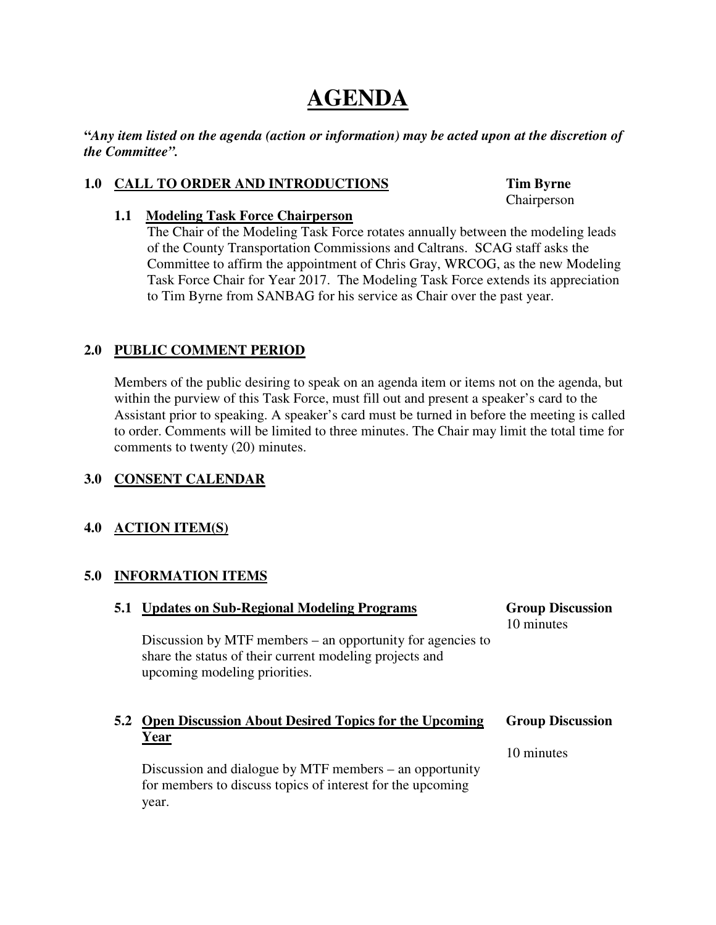## **AGENDA**

**"***Any item listed on the agenda (action or information) may be acted upon at the discretion of the Committee".* 

#### **1.0 CALL TO ORDER AND INTRODUCTIONS Tim Byrne**

Chairperson

#### **1.1 Modeling Task Force Chairperson**

 The Chair of the Modeling Task Force rotates annually between the modeling leads of the County Transportation Commissions and Caltrans. SCAG staff asks the Committee to affirm the appointment of Chris Gray, WRCOG, as the new Modeling Task Force Chair for Year 2017. The Modeling Task Force extends its appreciation to Tim Byrne from SANBAG for his service as Chair over the past year.

### **2.0 PUBLIC COMMENT PERIOD**

 Members of the public desiring to speak on an agenda item or items not on the agenda, but within the purview of this Task Force, must fill out and present a speaker's card to the Assistant prior to speaking. A speaker's card must be turned in before the meeting is called to order. Comments will be limited to three minutes. The Chair may limit the total time for comments to twenty (20) minutes.

### **3.0 CONSENT CALENDAR**

### **4.0 ACTION ITEM(S)**

#### **5.0 INFORMATION ITEMS**

| 5.1 | <b>Updates on Sub-Regional Modeling Programs</b>                                                                                                       | <b>Group Discussion</b><br>10 minutes |
|-----|--------------------------------------------------------------------------------------------------------------------------------------------------------|---------------------------------------|
|     | Discussion by MTF members – an opportunity for agencies to<br>share the status of their current modeling projects and<br>upcoming modeling priorities. |                                       |
|     |                                                                                                                                                        |                                       |
|     | 5.2 Open Discussion About Desired Topics for the Upcoming                                                                                              | <b>Group Discussion</b>               |
|     | Year                                                                                                                                                   | 10 minutes                            |
|     | Discussion and dialogue by MTF members – an opportunity<br>for members to discuss topics of interest for the upcoming                                  |                                       |